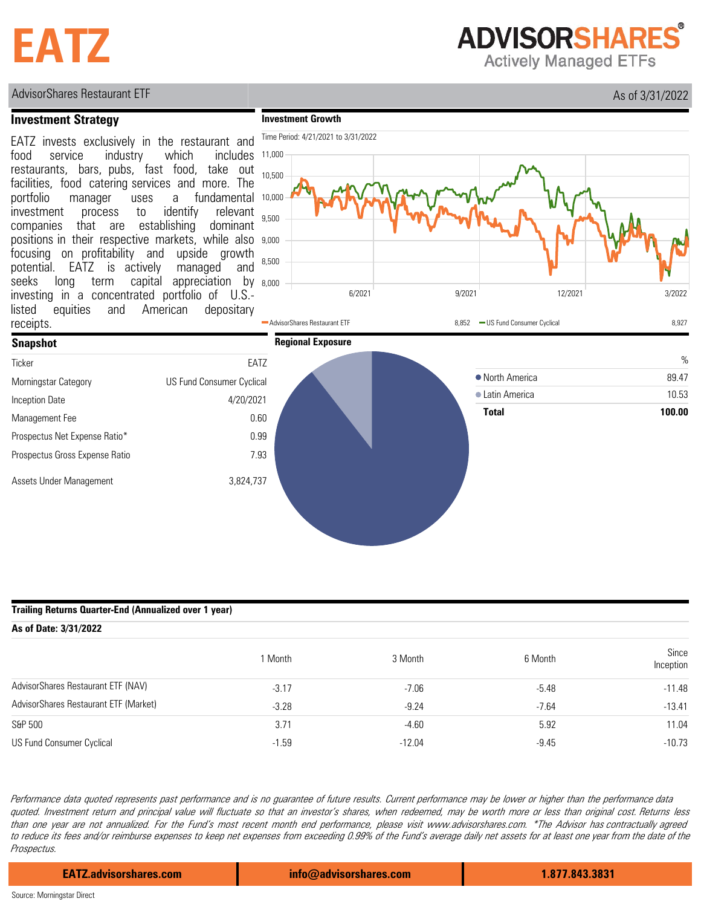# **EATZ**

**ADVISORSHARES** 

**Actively Managed ETFs** 

## AdvisorShares Restaurant ETF As of 3/31/2022

## **Investment Strategy**

**Investment Growth**



### **Trailing Returns Quarter-End (Annualized over 1 year)**

| As of Date: 3/31/2022                 |         |          |         |                    |  |  |  |  |
|---------------------------------------|---------|----------|---------|--------------------|--|--|--|--|
|                                       | 1 Month | 3 Month  | 6 Month | Since<br>Inception |  |  |  |  |
| AdvisorShares Restaurant ETF (NAV)    | $-3.17$ | $-7.06$  | $-5.48$ | $-11.48$           |  |  |  |  |
| AdvisorShares Restaurant ETF (Market) | $-3.28$ | $-9.24$  | $-7.64$ | $-13.41$           |  |  |  |  |
| S&P 500                               | 3.71    | $-4.60$  | 5.92    | 11.04              |  |  |  |  |
| US Fund Consumer Cyclical             | $-1.59$ | $-12.04$ | $-9.45$ | $-10.73$           |  |  |  |  |

Performance data quoted represents past performance and is no guarantee of future results. Current performance may be lower or higher than the performance data quoted. Investment return and principal value will fluctuate so that an investor's shares, when redeemed, may be worth more or less than original cost. Returns less than one year are not annualized. For the Fund's most recent month end performance, please visit www.advisorshares.com. \*The Advisor has contractually agreed to reduce its fees and/or reimburse expenses to keep net expenses from exceeding 0.99% of the Fund's average daily net assets for at least one year from the date of the Prospectus.